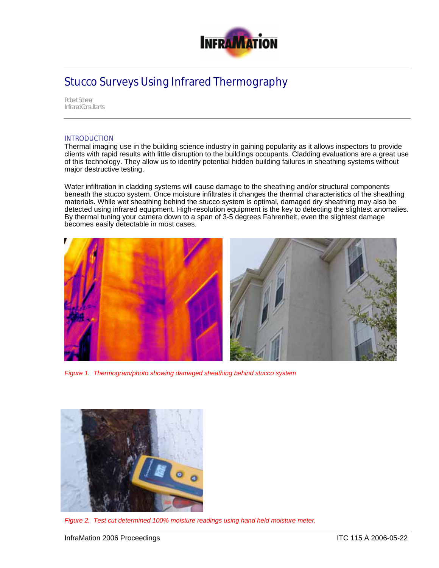

## Stucco Surveys Using Infrared Thermography

*Robert Scherer Infrared Consultants* 

## INTRODUCTION

Thermal imaging use in the building science industry in gaining popularity as it allows inspectors to provide clients with rapid results with little disruption to the buildings occupants. Cladding evaluations are a great use of this technology. They allow us to identify potential hidden building failures in sheathing systems without major destructive testing.

Water infiltration in cladding systems will cause damage to the sheathing and/or structural components beneath the stucco system. Once moisture infiltrates it changes the thermal characteristics of the sheathing materials. While wet sheathing behind the stucco system is optimal, damaged dry sheathing may also be detected using infrared equipment. High-resolution equipment is the key to detecting the slightest anomalies. By thermal tuning your camera down to a span of 3-5 degrees Fahrenheit, even the slightest damage becomes easily detectable in most cases.



*Figure 1. Thermogram/photo showing damaged sheathing behind stucco system* 



*Figure 2. Test cut determined 100% moisture readings using hand held moisture meter.*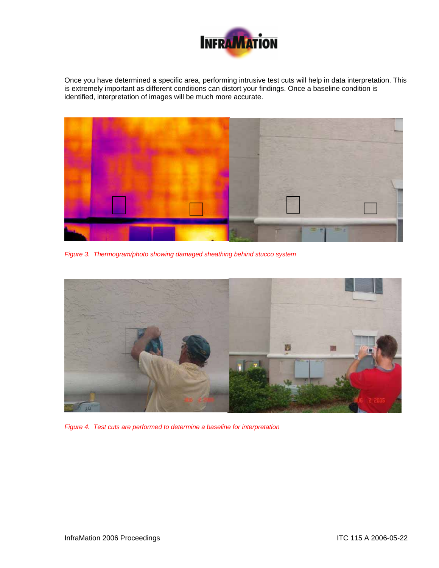

Once you have determined a specific area, performing intrusive test cuts will help in data interpretation. This is extremely important as different conditions can distort your findings. Once a baseline condition is identified, interpretation of images will be much more accurate.



*Figure 3. Thermogram/photo showing damaged sheathing behind stucco system*



*Figure 4. Test cuts are performed to determine a baseline for interpretation*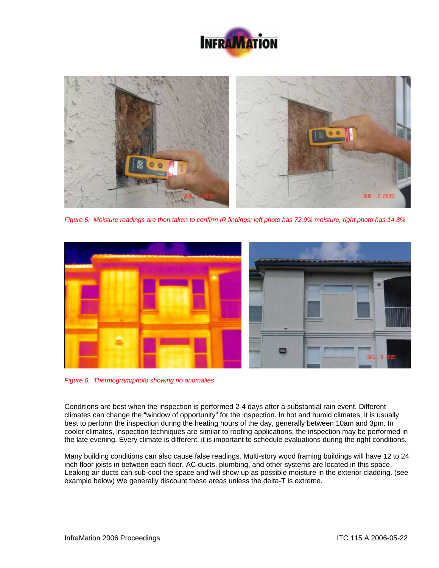



*Figure 5. Moisture readings are then taken to confirm IR findings; left photo has 72.9% moisture, right photo has 14.8%* 



*Figure 6. Thermogram/photo showing no anomalies* 

Conditions are best when the inspection is performed 2-4 days after a substantial rain event. Different climates can change the "window of opportunity" for the inspection. In hot and humid climates, it is usually best to perform the inspection during the heating hours of the day, generally between 10am and 3pm. In cooler climates, inspection techniques are similar to roofing applications; the inspection may be performed in the late evening. Every climate is different, it is important to schedule evaluations during the right conditions.

Many building conditions can also cause false readings. Multi-story wood framing buildings will have 12 to 24 inch floor joists in between each floor. AC ducts, plumbing, and other systems are located in this space. Leaking air ducts can sub-cool the space and will show up as possible moisture in the exterior cladding. (see example below) We generally discount these areas unless the delta-T is extreme.